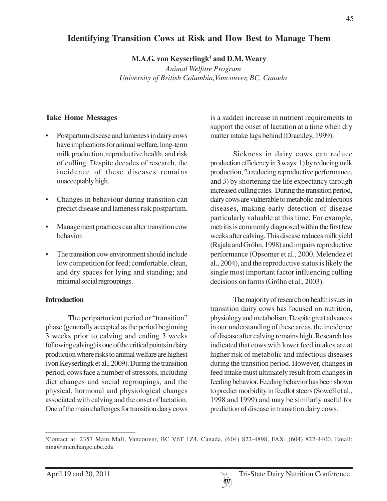# **Identifying Transition Cows at Risk and How Best to Manage Them**

**M.A.G. von Keyserlingk1 and D.M. Weary**

*Animal Welfare Program University of British Columbia,Vancouver, BC, Canada*

# **Take Home Messages**

- Postpartum disease and lameness in dairy cows have implications for animal welfare, long-term milk production, reproductive health, and risk of culling. Despite decades of research, the incidence of these diseases remains unacceptably high.
- Changes in behaviour during transition can predict disease and lameness risk postpartum.
- Management practices can alter transition cow behavior.
- The transition cow environment should include low competition for feed; comfortable, clean, and dry spaces for lying and standing; and minimal social regroupings.

# **Introduction**

The periparturient period or "transition" phase (generally accepted as the period beginning 3 weeks prior to calving and ending 3 weeks following calving) is one of the critical points in dairy production where risks to animal welfare are highest (von Keyserlingk et al., 2009). During the transition period, cows face a number of stressors, including diet changes and social regroupings, and the physical, hormonal and physiological changes associated with calving and the onset of lactation. One of the main challenges for transition dairy cows

is a sudden increase in nutrient requirements to support the onset of lactation at a time when dry matter intake lags behind (Drackley, 1999).

Sickness in dairy cows can reduce production efficiency in 3 ways: 1) by reducing milk production, 2) reducing reproductive performance, and 3) by shortening the life expectancy through increased culling rates. During the transition period, dairy cows are vulnerable to metabolic and infectious diseases, making early detection of disease particularly valuable at this time. For example, metritis is commonly diagnosed within the first few weeks after calving. This disease reduces milk yield (Rajala and Gröhn, 1998) and impairs reproductive performance (Opsomer et al., 2000, Melendez et al., 2004), and the reproductive status is likely the single most important factor influencing culling decisions on farms (Gröhn et al., 2003).

The majority of research on health issues in transition dairy cows has focused on nutrition, physiology and metabolism. Despite great advances in our understanding of these areas, the incidence of disease after calving remains high. Research has indicated that cows with lower feed intakes are at higher risk of metabolic and infectious diseases during the transition period. However, changes in feed intake must ultimately result from changes in feeding behavior. Feeding behavior has been shown to predict morbidity in feedlot steers (Sowell et al., 1998 and 1999) and may be similarly useful for prediction of disease in transition dairy cows.

<sup>1</sup> Contact at: 2357 Main Mall, Vancouver, BC V6T 1Z4, Canada, (604) 822-4898, FAX: (604) 822-4400, Email: nina@interchange.ubc.edu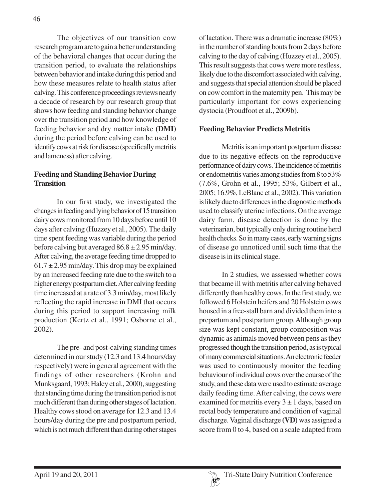The objectives of our transition cow research program are to gain a better understanding of the behavioral changes that occur during the transition period, to evaluate the relationships between behavior and intake during this period and how these measures relate to health status after calving. This conference proceedings reviews nearly a decade of research by our research group that shows how feeding and standing behavior change over the transition period and how knowledge of feeding behavior and dry matter intake **(DMI)** during the period before calving can be used to identify cows at risk for disease (specifically metritis and lameness) after calving.

#### **Feeding and Standing Behavior During Transition**

In our first study, we investigated the changes in feeding and lying behavior of 15 transition dairy cows monitored from 10 days before until 10 days after calving (Huzzey et al., 2005). The daily time spent feeding was variable during the period before calving but averaged  $86.8 \pm 2.95$  min/day. After calving, the average feeding time dropped to  $61.7 \pm 2.95$  min/day. This drop may be explained by an increased feeding rate due to the switch to a higher energy postpartum diet. After calving feeding time increased at a rate of 3.3 min/day, most likely reflecting the rapid increase in DMI that occurs during this period to support increasing milk production (Kertz et al., 1991; Osborne et al., 2002).

The pre- and post-calving standing times determined in our study (12.3 and 13.4 hours/day respectively) were in general agreement with the findings of other researchers (Krohn and Munksgaard, 1993; Haley et al., 2000), suggesting that standing time during the transition period is not much different than during other stages of lactation. Healthy cows stood on average for 12.3 and 13.4 hours/day during the pre and postpartum period, which is not much different than during other stages

of lactation. There was a dramatic increase (80%) in the number of standing bouts from 2 days before calving to the day of calving (Huzzey et al., 2005). This result suggests that cows were more restless, likely due to the discomfort associated with calving, and suggests that special attention should be placed on cow comfort in the maternity pen. This may be particularly important for cows experiencing dystocia (Proudfoot et al., 2009b).

#### **Feeding Behavior Predicts Metritis**

Metritis is an important postpartum disease due to its negative effects on the reproductive performance of dairy cows. The incidence of metritis or endometritis varies among studies from 8 to 53% (7.6%, Grohn et al., 1995; 53%, Gilbert et al., 2005; 16.9%, LeBlanc et al., 2002). This variation is likely due to differences in the diagnostic methods used to classify uterine infections. On the average dairy farm, disease detection is done by the veterinarian, but typically only during routine herd health checks. So in many cases, early warning signs of disease go unnoticed until such time that the disease is in its clinical stage.

In 2 studies, we assessed whether cows that became ill with metritis after calving behaved differently than healthy cows. In the first study, we followed 6 Holstein heifers and 20 Holstein cows housed in a free-stall barn and divided them into a prepartum and postpartum group. Although group size was kept constant, group composition was dynamic as animals moved between pens as they progressed though the transition period, as is typical of many commercial situations. An electronic feeder was used to continuously monitor the feeding behaviour of individual cows over the course of the study, and these data were used to estimate average daily feeding time. After calving, the cows were examined for metritis every  $3 \pm 1$  days, based on rectal body temperature and condition of vaginal discharge. Vaginal discharge **(VD)** was assigned a score from 0 to 4, based on a scale adapted from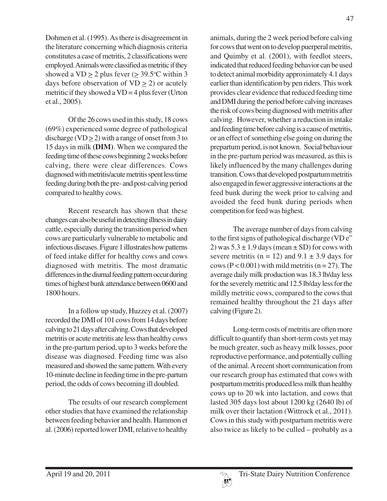Dohmen et al. (1995). As there is disagreement in the literature concerning which diagnosis criteria constitutes a case of metritis, 2 classifications were employed. Animals were classified as metritic if they showed a  $VD \ge 2$  plus fever ( $\ge 39.5$ °C within 3 days before observation of  $VD > 2$ ) or acutely metritic if they showed a  $VD = 4$  plus fever (Urton et al., 2005).

Of the 26 cows used in this study, 18 cows (69%) experienced some degree of pathological discharge (VD  $>$  2) with a range of onset from 3 to 15 days in milk **(DIM)**. When we compared the feeding time of these cows beginning 2 weeks before calving, there were clear differences. Cows diagnosed with metritis/acute metritis spent less time feeding during both the pre- and post-calving period compared to healthy cows.

Recent research has shown that these changes can also be useful in detecting illness in dairy cattle, especially during the transition period when cows are particularly vulnerable to metabolic and infectious diseases. Figure 1 illustrates how patterns of feed intake differ for healthy cows and cows diagnosed with metritis. The most dramatic differences in the diurnal feeding pattern occur during times of highest bunk attendance between 0600 and 1800 hours.

In a follow up study, Huzzey et al. (2007) recorded the DMI of 101 cows from 14 days before calving to 21 days after calving. Cows that developed metritis or acute metritis ate less than healthy cows in the pre-partum period, up to 3 weeks before the disease was diagnosed. Feeding time was also measured and showed the same pattern. With every 10-minute decline in feeding time in the pre-partum period, the odds of cows becoming ill doubled.

The results of our research complement other studies that have examined the relationship between feeding behavior and health. Hammon et al. (2006) reported lower DMI, relative to healthy

animals, during the 2 week period before calving for cows that went on to develop puerperal metritis, and Quimby et al. (2001), with feedlot steers, indicated that reduced feeding behavior can be used to detect animal morbidity approximately 4.1 days earlier than identification by pen riders. This work provides clear evidence that reduced feeding time and DMI during the period before calving increases the risk of cows being diagnosed with metritis after calving. However, whether a reduction in intake and feeding time before calving is a cause of metritis, or an effect of something else going on during the prepartum period, is not known. Social behaviour in the pre-partum period was measured, as this is likely influenced by the many challenges during transition. Cows that developed postpartum metritis also engaged in fewer aggressive interactions at the feed bunk during the week prior to calving and avoided the feed bunk during periods when competition for feed was highest.

The average number of days from calving to the first signs of pathological discharge (VD e" 2) was  $5.3 \pm 1.9$  days (mean  $\pm$  SD) for cows with severe metritis ( $n = 12$ ) and  $9.1 \pm 3.9$  days for cows ( $P < 0.001$ ) with mild metritis ( $n = 27$ ). The average daily milk production was 18.3 lb/day less for the severely metritic and 12.5 lb/day less for the mildly metritic cows, compared to the cows that remained healthy throughout the 21 days after calving (Figure 2).

Long-term costs of metritis are often more difficult to quantify than short-term costs yet may be much greater, such as heavy milk losses, poor reproductive performance, and potentially culling of the animal. A recent short communication from our research group has estimated that cows with postpartum metritis produced less milk than healthy cows up to 20 wk into lactation, and cows that lasted 305 days lost about 1200 kg (2640 lb) of milk over their lactation (Wittrock et al., 2011). Cows in this study with postpartum metritis were also twice as likely to be culled – probably as a

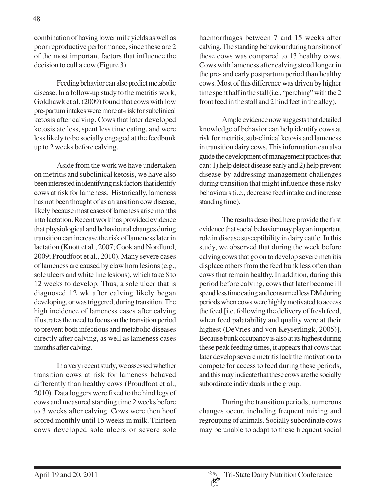combination of having lower milk yields as well as poor reproductive performance, since these are 2 of the most important factors that influence the decision to cull a cow (Figure 3).

Feeding behavior can also predict metabolic disease. In a follow-up study to the metritis work, Goldhawk et al. (2009) found that cows with low pre-partum intakes were more at-risk for subclinical ketosis after calving. Cows that later developed ketosis ate less, spent less time eating, and were less likely to be socially engaged at the feedbunk up to 2 weeks before calving.

Aside from the work we have undertaken on metritis and subclinical ketosis, we have also been interested in identifying risk factors that identify cows at risk for lameness. Historically, lameness has not been thought of as a transition cow disease, likely because most cases of lameness arise months into lactation. Recent work has provided evidence that physiological and behavioural changes during transition can increase the risk of lameness later in lactation (Knott et al., 2007; Cook and Nordlund, 2009; Proudfoot et al., 2010). Many severe cases of lameness are caused by claw horn lesions (e.g., sole ulcers and white line lesions), which take 8 to 12 weeks to develop. Thus, a sole ulcer that is diagnosed 12 wk after calving likely began developing, or was triggered, during transition. The high incidence of lameness cases after calving illustrates the need to focus on the transition period to prevent both infectious and metabolic diseases directly after calving, as well as lameness cases months after calving.

In a very recent study, we assessed whether transition cows at risk for lameness behaved differently than healthy cows (Proudfoot et al., 2010). Data loggers were fixed to the hind legs of cows and measured standing time 2 weeks before to 3 weeks after calving. Cows were then hoof scored monthly until 15 weeks in milk. Thirteen cows developed sole ulcers or severe sole

haemorrhages between 7 and 15 weeks after calving. The standing behaviour during transition of these cows was compared to 13 healthy cows. Cows with lameness after calving stood longer in the pre- and early postpartum period than healthy cows. Most of this difference was driven by higher time spent half in the stall (i.e., "perching" with the 2 front feed in the stall and 2 hind feet in the alley).

Ample evidence now suggests that detailed knowledge of behavior can help identify cows at risk for metritis, sub-clinical ketosis and lameness in transition dairy cows. This information can also guide the development of management practices that can: 1) help detect disease early and 2) help prevent disease by addressing management challenges during transition that might influence these risky behaviours (i.e., decrease feed intake and increase standing time).

The results described here provide the first evidence that social behavior may play an important role in disease susceptibility in dairy cattle. In this study, we observed that during the week before calving cows that go on to develop severe metritis displace others from the feed bunk less often than cows that remain healthy. In addition, during this period before calving, cows that later become ill spend less time eating and consumed less DM during periods when cows were highly motivated to access the feed [i.e. following the delivery of fresh feed, when feed palatability and quality were at their highest (DeVries and von Keyserlingk, 2005)]. Because bunk occupancy is also at its highest during these peak feeding times, it appears that cows that later develop severe metritis lack the motivation to compete for access to feed during these periods, and this may indicate that these cows are the socially subordinate individuals in the group.

During the transition periods, numerous changes occur, including frequent mixing and regrouping of animals. Socially subordinate cows may be unable to adapt to these frequent social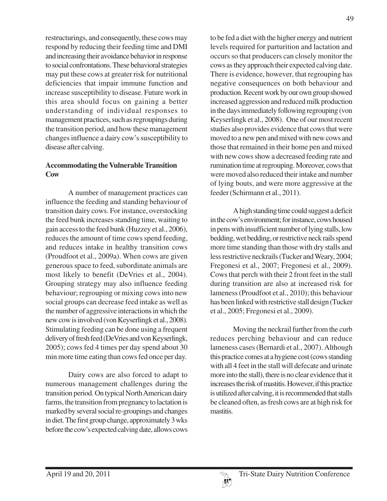restructurings, and consequently, these cows may respond by reducing their feeding time and DMI and increasing their avoidance behavior in response to social confrontations. These behavioral strategies may put these cows at greater risk for nutritional deficiencies that impair immune function and increase susceptibility to disease. Future work in this area should focus on gaining a better understanding of individual responses to management practices, such as regroupings during the transition period, and how these management changes influence a dairy cow's susceptibility to disease after calving.

#### **Accommodating the Vulnerable Transition Cow**

A number of management practices can influence the feeding and standing behaviour of transition dairy cows. For instance, overstocking the feed bunk increases standing time, waiting to gain access to the feed bunk (Huzzey et al., 2006), reduces the amount of time cows spend feeding, and reduces intake in healthy transition cows (Proudfoot et al., 2009a). When cows are given generous space to feed, subordinate animals are most likely to benefit (DeVries et al., 2004). Grouping strategy may also influence feeding behaviour; regrouping or mixing cows into new social groups can decrease feed intake as well as the number of aggressive interactions in which the new cow is involved (von Keyserlingk et al., 2008). Stimulating feeding can be done using a frequent delivery of fresh feed (DeVries and von Keyserlingk, 2005); cows fed 4 times per day spend about 30 min more time eating than cows fed once per day.

Dairy cows are also forced to adapt to numerous management challenges during the transition period. On typical North American dairy farms, the transition from pregnancy to lactation is marked by several social re-groupings and changes in diet. The first group change, approximately 3 wks before the cow's expected calving date, allows cows

to be fed a diet with the higher energy and nutrient levels required for parturition and lactation and occurs so that producers can closely monitor the cows as they approach their expected calving date. There is evidence, however, that regrouping has negative consequences on both behaviour and production. Recent work by our own group showed increased aggression and reduced milk production in the days immediately following regrouping (von Keyserlingk et al., 2008). One of our most recent studies also provides evidence that cows that were moved to a new pen and mixed with new cows and those that remained in their home pen and mixed with new cows show a decreased feeding rate and rumination time at regrouping. Moreover, cows that were moved also reduced their intake and number of lying bouts, and were more aggressive at the feeder (Schirmann et al., 2011).

A high standing time could suggest a deficit in the cow's environment; for instance, cows housed in pens with insufficient number of lying stalls, low bedding, wet bedding, or restrictive neck rails spend more time standing than those with dry stalls and less restrictive neckrails (Tucker and Weary, 2004; Fregonesi et al., 2007; Fregonesi et al., 2009). Cows that perch with their 2 front feet in the stall during transition are also at increased risk for lameness (Proudfoot et al., 2010); this behaviour has been linked with restrictive stall design (Tucker et al., 2005; Fregonesi et al., 2009).

Moving the neckrail further from the curb reduces perching behaviour and can reduce lameness cases (Bernardi et al., 2007). Although this practice comes at a hygiene cost (cows standing with all 4 feet in the stall will defecate and urinate more into the stall), there is no clear evidence that it increases the risk of mastitis. However, if this practice is utilized after calving, it is recommended that stalls be cleaned often, as fresh cows are at high risk for mastitis.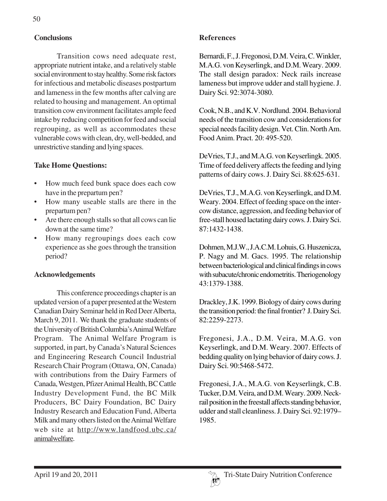# **Conclusions**

Transition cows need adequate rest, appropriate nutrient intake, and a relatively stable social environment to stay healthy. Some risk factors for infectious and metabolic diseases postpartum and lameness in the few months after calving are related to housing and management. An optimal transition cow environment facilitates ample feed intake by reducing competition for feed and social regrouping, as well as accommodates these vulnerable cows with clean, dry, well-bedded, and unrestrictive standing and lying spaces.

# **Take Home Questions:**

- How much feed bunk space does each cow have in the prepartum pen?
- How many useable stalls are there in the prepartum pen?
- Are there enough stalls so that all cows can lie down at the same time?
- How many regroupings does each cow experience as she goes through the transition period?

# **Acknowledgements**

This conference proceedings chapter is an updated version of a paper presented at the Western Canadian Dairy Seminar held in Red Deer Alberta, March 9, 2011. We thank the graduate students of the University of British Columbia's Animal Welfare Program. The Animal Welfare Program is supported, in part, by Canada's Natural Sciences and Engineering Research Council Industrial Research Chair Program (Ottawa, ON, Canada) with contributions from the Dairy Farmers of Canada, Westgen, Pfizer Animal Health, BC Cattle Industry Development Fund, the BC Milk Producers, BC Dairy Foundation, BC Dairy Industry Research and Education Fund, Alberta Milk and many others listed on the Animal Welfare web site at http://www.landfood.ubc.ca/ animalwelfare.

#### **References**

Bernardi, F., J. Fregonosi, D.M. Veira, C. Winkler, M.A.G. von Keyserlingk, and D.M. Weary. 2009. The stall design paradox: Neck rails increase lameness but improve udder and stall hygiene. J. Dairy Sci. 92:3074-3080.

Cook, N.B., and K.V. Nordlund. 2004. Behavioral needs of the transition cow and considerations for special needs facility design. Vet. Clin. North Am. Food Anim. Pract. 20: 495-520.

DeVries, T.J., and M.A.G. von Keyserlingk. 2005. Time of feed delivery affects the feeding and lying patterns of dairy cows. J. Dairy Sci. 88:625-631.

DeVries, T.J., M.A.G. von Keyserlingk, and D.M. Weary. 2004. Effect of feeding space on the intercow distance, aggression, and feeding behavior of free-stall housed lactating dairy cows. J. Dairy Sci. 87:1432-1438.

Dohmen, M.J.W., J.A.C.M. Lohuis, G. Huszenicza, P. Nagy and M. Gacs. 1995. The relationship between bacteriological and clinical findings in cows with subacute/chronic endometritis. Theriogenology 43:1379-1388.

Drackley, J.K. 1999. Biology of dairy cows during the transition period: the final frontier? J. Dairy Sci. 82:2259-2273.

Fregonesi, J.A., D.M. Veira, M.A.G. von Keyserlingk, and D.M. Weary. 2007. Effects of bedding quality on lying behavior of dairy cows. J. Dairy Sci. 90:5468-5472.

Fregonesi, J.A., M.A.G. von Keyserlingk, C.B. Tucker, D.M. Veira, and D.M. Weary. 2009. Neckrail position in the freestall affects standing behavior, udder and stall cleanliness. J. Dairy Sci. 92:1979– 1985.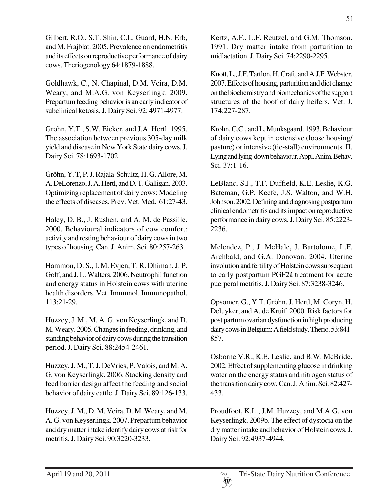Gilbert, R.O., S.T. Shin, C.L. Guard, H.N. Erb, and M. Frajblat. 2005. Prevalence on endometritis and its effects on reproductive performance of dairy cows. Theriogenology 64:1879-1888.

Goldhawk, C., N. Chapinal, D.M. Veira, D.M. Weary, and M.A.G. von Keyserlingk. 2009. Prepartum feeding behavior is an early indicator of subclinical ketosis. J. Dairy Sci. 92: 4971-4977.

Grohn, Y.T., S.W. Eicker, and J.A. Hertl. 1995. The association between previous 305-day milk yield and disease in New York State dairy cows. J. Dairy Sci. 78:1693-1702.

Gröhn, Y. T, P. J. Rajala-Schultz, H. G. Allore, M. A. DeLorenzo, J. A. Hertl, and D. T. Galligan. 2003. Optimizing replacement of dairy cows: Modeling the effects of diseases. Prev. Vet. Med. 61:27-43.

Haley, D. B., J. Rushen, and A. M. de Passille. 2000. Behavioural indicators of cow comfort: activity and resting behaviour of dairy cows in two types of housing. Can. J. Anim. Sci. 80:257-263.

Hammon, D. S., I. M. Evjen, T. R. Dhiman, J. P. Goff, and J. L. Walters. 2006. Neutrophil function and energy status in Holstein cows with uterine health disorders. Vet. Immunol. Immunopathol. 113:21-29.

Huzzey, J. M., M. A. G. von Keyserlingk, and D. M. Weary. 2005. Changes in feeding, drinking, and standing behavior of dairy cows during the transition period. J. Dairy Sci. 88:2454-2461.

Huzzey, J. M., T. J. DeVries, P. Valois, and M. A. G. von Keyserlingk. 2006. Stocking density and feed barrier design affect the feeding and social behavior of dairy cattle. J. Dairy Sci. 89:126-133.

Huzzey, J. M., D. M. Veira, D. M. Weary, and M. A. G. von Keyserlingk. 2007. Prepartum behavior and dry matter intake identify dairy cows at risk for metritis. J. Dairy Sci. 90:3220-3233.

Kertz, A.F., L.F. Reutzel, and G.M. Thomson. 1991. Dry matter intake from parturition to midlactation. J. Dairy Sci. 74:2290-2295.

Knott, L., J.F. Tartlon, H. Craft, and A.J.F. Webster. 2007. Effects of housing, parturition and diet change on the biochemistry and biomechanics of the support structures of the hoof of dairy heifers. Vet. J. 174:227-287.

Krohn, C.C., and L. Munksgaard. 1993. Behaviour of dairy cows kept in extensive (loose housing/ pasture) or intensive (tie-stall) environments. II. Lying and lying-down behaviour. Appl. Anim. Behav. Sci. 37:1-16.

LeBlanc, S.J., T.F. Duffield, K.E. Leslie, K.G. Bateman, G.P. Keefe, J.S. Walton, and W.H. Johnson. 2002. Defining and diagnosing postpartum clinical endometritis and its impact on reproductive performance in dairy cows. J. Dairy Sci. 85:2223- 2236.

Melendez, P., J. McHale, J. Bartolome, L.F. Archbald, and G.A. Donovan. 2004. Uterine involution and fertility of Holstein cows subsequent to early postpartum PGF2á treatment for acute puerperal metritis. J. Dairy Sci. 87:3238-3246.

Opsomer, G., Y.T. Gröhn, J. Hertl, M. Coryn, H. Deluyker, and A. de Kruif. 2000. Risk factors for post partum ovarian dysfunction in high producing dairy cows in Belgium: A field study. Therio. 53:841- 857.

Osborne V.R., K.E. Leslie, and B.W. McBride. 2002. Effect of supplementing glucose in drinking water on the energy status and nitrogen status of the transition dairy cow. Can. J. Anim. Sci. 82:427- 433.

Proudfoot, K.L., J.M. Huzzey, and M.A.G. von Keyserlingk. 2009b. The effect of dystocia on the dry matter intake and behavior of Holstein cows. J. Dairy Sci. 92:4937-4944.

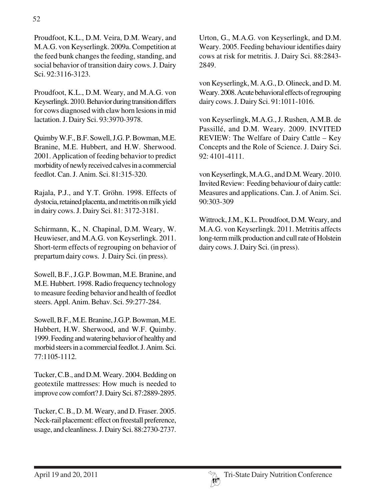Proudfoot, K.L., D.M. Veira, D.M. Weary, and M.A.G. von Keyserlingk. 2009a. Competition at the feed bunk changes the feeding, standing, and social behavior of transition dairy cows. J. Dairy Sci. 92:3116-3123.

Proudfoot, K.L., D.M. Weary, and M.A.G. von Keyserlingk. 2010. Behavior during transition differs for cows diagnosed with claw horn lesions in mid lactation. J. Dairy Sci. 93:3970-3978.

Quimby W.F., B.F. Sowell, J.G. P. Bowman, M.E. Branine, M.E. Hubbert, and H.W. Sherwood. 2001. Application of feeding behavior to predict morbidity of newly received calves in a commercial feedlot. Can. J. Anim. Sci. 81:315-320.

Rajala, P.J., and Y.T. Gröhn. 1998. Effects of dystocia, retained placenta, and metritis on milk yield in dairy cows. J. Dairy Sci. 81: 3172-3181.

Schirmann, K., N. Chapinal, D.M. Weary, W. Heuwieser, and M.A.G. von Keyserlingk. 2011. Short-term effects of regrouping on behavior of prepartum dairy cows. J. Dairy Sci. (in press).

Sowell, B.F., J.G.P. Bowman, M.E. Branine, and M.E. Hubbert. 1998. Radio frequency technology to measure feeding behavior and health of feedlot steers. Appl. Anim. Behav. Sci. 59:277-284.

Sowell, B.F., M.E. Branine, J.G.P. Bowman, M.E. Hubbert, H.W. Sherwood, and W.F. Quimby. 1999. Feeding and watering behavior of healthy and morbid steers in a commercial feedlot. J. Anim. Sci. 77:1105-1112.

Tucker, C.B., and D.M. Weary. 2004. Bedding on geotextile mattresses: How much is needed to improve cow comfort? J. Dairy Sci. 87:2889-2895.

Tucker, C. B., D. M. Weary, and D. Fraser. 2005. Neck-rail placement: effect on freestall preference, usage, and cleanliness. J. Dairy Sci. 88:2730-2737. Urton, G., M.A.G. von Keyserlingk, and D.M. Weary. 2005. Feeding behaviour identifies dairy cows at risk for metritis. J. Dairy Sci. 88:2843- 2849.

von Keyserlingk, M. A.G., D. Olineck, and D. M. Weary. 2008. Acute behavioral effects of regrouping dairy cows. J. Dairy Sci. 91:1011-1016.

von Keyserlingk, M.A.G., J. Rushen, A.M.B. de Passillé, and D.M. Weary. 2009. INVITED REVIEW: The Welfare of Dairy Cattle – Key Concepts and the Role of Science. J. Dairy Sci. 92: 4101-4111.

von Keyserlingk, M.A.G., and D.M. Weary. 2010. Invited Review: Feeding behaviour of dairy cattle: Measures and applications. Can. J. of Anim. Sci. 90:303-309

Wittrock, J.M., K.L. Proudfoot, D.M. Weary, and M.A.G. von Keyserlingk. 2011. Metritis affects long-term milk production and cull rate of Holstein dairy cows. J. Dairy Sci. (in press).

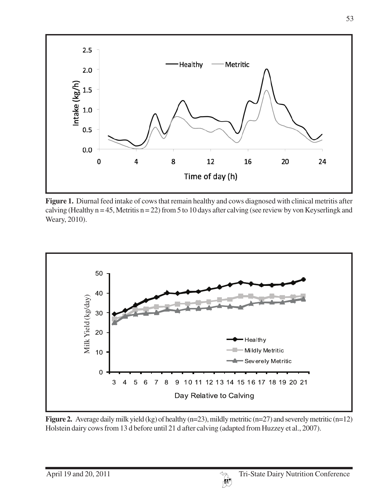

**Figure 1.** Diurnal feed intake of cows that remain healthy and cows diagnosed with clinical metritis after calving (Healthy  $n = 45$ , Metritis  $n = 22$ ) from 5 to 10 days after calving (see review by von Keyserlingk and Weary, 2010).



**Figure 2.** Average daily milk yield (kg) of healthy (n=23), mildly metritic (n=27) and severely metritic (n=12)